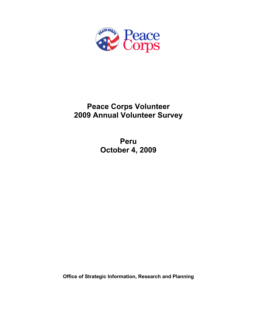

# **Peace Corps Volunteer 2009 Annual Volunteer Survey**

**Peru October 4, 2009** 

**Office of Strategic Information, Research and Planning**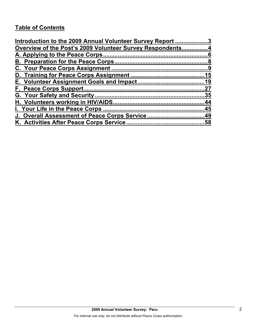# **Table of Contents**

| Introduction to the 2009 Annual Volunteer Survey Report 3 |    |
|-----------------------------------------------------------|----|
| Overview of the Post's 2009 Volunteer Survey Respondents4 |    |
|                                                           |    |
|                                                           |    |
|                                                           |    |
|                                                           |    |
|                                                           |    |
|                                                           | 27 |
|                                                           |    |
|                                                           |    |
|                                                           |    |
|                                                           |    |
|                                                           |    |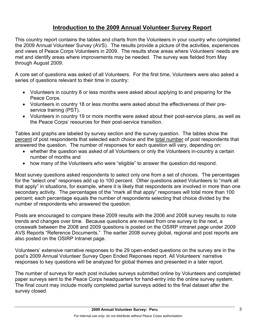# **Introduction to the 2009 Annual Volunteer Survey Report**

This country report contains the tables and charts from the Volunteers in your country who completed the 2009 Annual Volunteer Survey (AVS). The results provide a picture of the activities, experiences and views of Peace Corps Volunteers in 2009. The results show areas where Volunteers' needs are met and identify areas where improvements may be needed. The survey was fielded from May through August 2009.

A core set of questions was asked of all Volunteers. For the first time, Volunteers were also asked a series of questions relevant to their time in country:

- Volunteers in country 8 or less months were asked about applying to and preparing for the Peace Corps.
- Volunteers in country 18 or less months were asked about the effectiveness of their preservice training (PST).
- Volunteers in country 19 or more months were asked about their post-service plans, as well as the Peace Corps' resources for their post-service transition.

Tables and graphs are labeled by survey section and the survey question. The tables show the percent of post respondents that selected each choice and the total number of post respondents that answered the question. The number of responses for each question will vary, depending on:

- whether the question was asked of all Volunteers or only the Volunteers in-country a certain number of months and
- how many of the Volunteers who were "eligible" to answer the question did respond.

Most survey questions asked respondents to select only one from a set of choices. The percentages for the "select one" responses add up to 100 percent. Other questions asked Volunteers to "mark all that apply" in situations, for example, where it is likely that respondents are involved in more than one secondary activity. The percentages of the "mark all that apply" responses will total more than 100 percent; each percentage equals the number of respondents selecting that choice divided by the number of respondents who answered the question.

Posts are encouraged to compare these 2009 results with the 2006 and 2008 survey results to note trends and changes over time. Because questions are revised from one survey to the next, a crosswalk between the 2008 and 2009 questions is posted on the OSIRP intranet page under 2009 AVS Reports "Reference Documents." The earlier 2008 survey global, regional and post reports are also posted on the OSIRP Intranet page.

Volunteers' extensive narrative responses to the 29 open-ended questions on the survey are in the post's 2009 Annual Volunteer Survey Open Ended Reponses report. All Volunteers' narrative responses to key questions will be analyzed for global themes and presented in a later report.

The number of surveys for each post includes surveys submitted online by Volunteers and completed paper surveys sent to the Peace Corps headquarters for hand-entry into the online survey system. The final count may include mostly completed partial surveys added to the final dataset after the survey closed.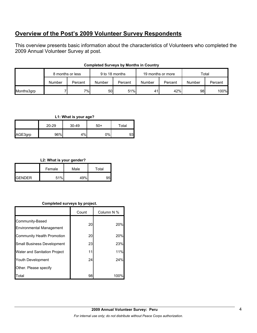# **Overview of the Post's 2009 Volunteer Survey Respondents**

This overview presents basic information about the characteristics of Volunteers who completed the 2009 Annual Volunteer Survey at post.

|            | 8 months or less |         | 9 to 18 months |         | 19 months or more |         | Total  |         |
|------------|------------------|---------|----------------|---------|-------------------|---------|--------|---------|
|            | Number           | Percent | Number         | Percent | Number            | Percent | Number | Percent |
| Months3grp |                  | 7%      | 50 l           | 51%     | 41                | 42%     | 98     | 100%    |

### **Completed Surveys by Months in Country**

## **L1: What is your age?**

|         | $20 - 29$ |    | $50+$ | Total |  |
|---------|-----------|----|-------|-------|--|
| AGE3grp | 96%       | 4% | 0%    | 93    |  |

## **L2: What is your gender?**

|                 | Female | Male | Total |
|-----------------|--------|------|-------|
| <b>I</b> GENDER | 51%    | 49%  |       |

## **Completed surveys by project.**

|                                                    | Count | Column N % |
|----------------------------------------------------|-------|------------|
| Community-Based<br><b>Environmental Management</b> | 20    | 20%        |
| <b>Community Health Promotion</b>                  | 20    | 20%        |
| <b>Small Business Development</b>                  | 23    | 23%        |
| <b>Water and Sanitation Project</b>                | 11    | 11%        |
| Youth Development                                  | 24    | 24%        |
| Other. Please specify                              |       |            |
| Total                                              | 98    | 100'       |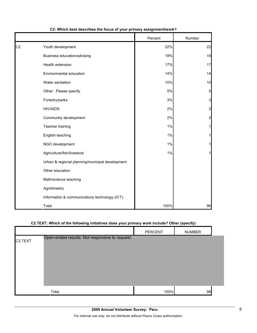|                |                                                 | Percent | Number         |
|----------------|-------------------------------------------------|---------|----------------|
| C <sub>2</sub> | Youth development                               | 22%     | 22             |
|                | Business education/advising                     | 19%     | 19             |
|                | Health extension                                | 17%     | 17             |
|                | Environmental education                         | 14%     | 14             |
|                | Water sanitation                                | 10%     | 10             |
|                | Other: Please specify                           | 5%      | 5              |
|                | Forestry/parks                                  | 3%      | $\mathbf{3}$   |
|                | <b>HIV/AIDS</b>                                 | 2%      | $\mathbf{2}$   |
|                | Community development                           | 2%      | $\overline{2}$ |
|                | Teacher training                                | 1%      | $\mathbf{1}$   |
|                | English teaching                                | 1%      | $\mathbf{1}$   |
|                | NGO development                                 | 1%      | 1              |
|                | Agriculture/fish/livestock                      | 1%      | 1              |
|                | Urban & regional planning/municipal development |         |                |
|                | Other education                                 |         |                |
|                | Math/science teaching                           |         |                |
|                | Agroforestry                                    |         |                |
|                | Information & communications technology (ICT)   |         |                |
|                | Total                                           | 100%    | 98             |

## **C2: Which best describes the focus of your primary assignment/work?**

## **C2.TEXT: Which of the following initiatives does your primary work include? Other (specify)**

|                                                                        | PERCENT |      | <b>NUMBER</b> |  |
|------------------------------------------------------------------------|---------|------|---------------|--|
| Open-ended results. Not responsive to request.<br>C <sub>2</sub> .TEXT |         |      |               |  |
| Total                                                                  |         | 100% | 98            |  |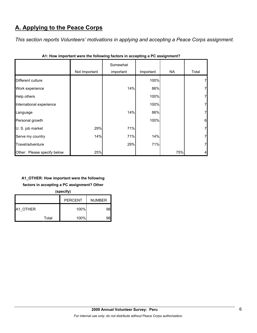# **A. Applying to the Peace Corps**

*This section reports Volunteers' motivations in applying and accepting a Peace Corps assignment.* 

|                             | Not Important | Somewhat<br>important | Important | <b>NA</b> | Total          |
|-----------------------------|---------------|-----------------------|-----------|-----------|----------------|
| Different culture           |               |                       | 100%      |           | 7              |
| Work experience             |               | 14%                   | 86%       |           | 7              |
| Help others                 |               |                       | 100%      |           | 7              |
| International experience    |               |                       | 100%      |           | 7              |
| Language                    |               | 14%                   | 86%       |           | 7              |
| Personal growth             |               |                       | 100%      |           | 6              |
| U. S. job market            | 29%           | 71%                   |           |           | $\overline{7}$ |
| Serve my country            | 14%           | 71%                   | 14%       |           | $\overline{7}$ |
| Travel/adventure            |               | 29%                   | 71%       |           | $\overline{7}$ |
| Other: Please specify below | 25%           |                       |           | 75%       | $\overline{4}$ |

**A1: How important were the following factors in accepting a PC assignment?**

# **A1\_OTHER: How important were the following**

**factors in accepting a PC assignment? Other** 

**(specify)**

|                 |       | <b>PERCENT</b> | <b>NUMBER</b> |
|-----------------|-------|----------------|---------------|
| <b>A1 OTHER</b> |       | 100%           | 98            |
|                 | Total | 100%           | ąя            |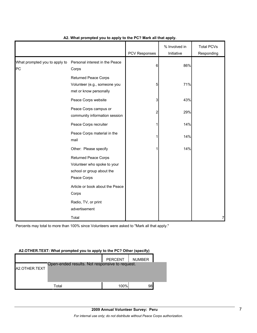|                                     |                                                                                                        | PCV Responses | % Involved in<br>Initiative | <b>Total PCVs</b><br>Responding |
|-------------------------------------|--------------------------------------------------------------------------------------------------------|---------------|-----------------------------|---------------------------------|
| What prompted you to apply to<br>PC | Personal interest in the Peace<br>Corps                                                                | 6             | 86%                         |                                 |
|                                     | <b>Returned Peace Corps</b><br>Volunteer (e.g., someone you<br>met or know personally                  | 5             | 71%                         |                                 |
|                                     | Peace Corps website                                                                                    | 3             | 43%                         |                                 |
|                                     | Peace Corps campus or<br>community information session                                                 | 2             | 29%                         |                                 |
|                                     | Peace Corps recruiter                                                                                  |               | 14%                         |                                 |
|                                     | Peace Corps material in the<br>mail                                                                    | 1             | 14%                         |                                 |
|                                     | Other: Please specify                                                                                  |               | 14%                         |                                 |
|                                     | <b>Returned Peace Corps</b><br>Volunteer who spoke to your<br>school or group about the<br>Peace Corps |               |                             |                                 |
|                                     | Article or book about the Peace<br>Corps                                                               |               |                             |                                 |
|                                     | Radio, TV, or print<br>advertisement                                                                   |               |                             |                                 |
|                                     | Total                                                                                                  |               |                             | 7                               |

## **A2. What prompted you to apply to the PC? Mark all that apply.**

Percents may total to more than 100% since Volunteers were asked to "Mark all that apply."

## **A2.OTHER.TEXT: What prompted you to apply to the PC? Other (specify)**

|               |                                                | PERCENT | <b>NUMBER</b> |  |
|---------------|------------------------------------------------|---------|---------------|--|
|               | Open-ended results. Not responsive to request. |         |               |  |
| A2.OTHER.TEXT |                                                |         |               |  |
|               |                                                |         |               |  |
|               |                                                |         |               |  |
|               |                                                |         |               |  |
|               | Total                                          | 100%    | 98            |  |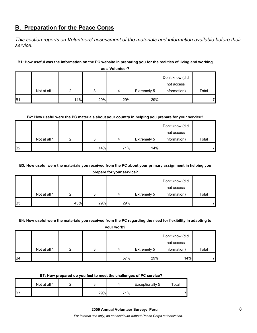# **B. Preparation for the Peace Corps**

*This section reports on Volunteers' assessment of the materials and information available before their service.* 

## **B1: How useful was the information on the PC website in preparing you for the realities of living and working**

|            |              |     |     |     |             | Don't know (did |       |
|------------|--------------|-----|-----|-----|-------------|-----------------|-------|
|            |              |     |     |     |             | not access      |       |
|            | Not at all 1 | ົ   |     | 4   | Extremely 5 | information)    | Total |
| <b>B</b> 1 |              | 14% | 29% | 29% | 29%         |                 |       |

**as a Volunteer?**

### **B2: How useful were the PC materials about your country in helping you prepare for your service?**

|                |              |   |     |     |             | Don't know (did |       |
|----------------|--------------|---|-----|-----|-------------|-----------------|-------|
|                |              |   |     |     |             | not access      |       |
|                | Not at all 1 | ົ | 2   | 4   | Extremely 5 | information)    | Total |
| B <sub>2</sub> |              |   | 14% | 71% | 14%         |                 |       |

## **B3: How useful were the materials you received from the PC about your primary assignment in helping you**

**prepare for your service?**

|                |              |     |     |     |             | Don't know (did |       |
|----------------|--------------|-----|-----|-----|-------------|-----------------|-------|
|                |              |     |     |     |             | not access      |       |
|                | Not at all 1 |     | 2   | 4   | Extremely 5 | information)    | Total |
| B <sub>3</sub> |              | 43% | 29% | 29% |             |                 |       |

#### **B4: How useful were the materials you received from the PC regarding the need for flexibility in adapting to**

**your work?**

|                 |              |   |     |             | Don't know (did |       |
|-----------------|--------------|---|-----|-------------|-----------------|-------|
|                 |              |   |     |             | not access      |       |
|                 | Not at all 1 | 2 | 4   | Extremely 5 | information)    | Total |
| IB <sub>4</sub> |              |   | 57% | 29%         | 14%             |       |

#### **B7: How prepared do you feel to meet the challenges of PC service?**

|     | Not at all 1 |     |     | Exceptionally 5 | $\tau$ otal |
|-----|--------------|-----|-----|-----------------|-------------|
| IB7 |              | 29% | 71% |                 |             |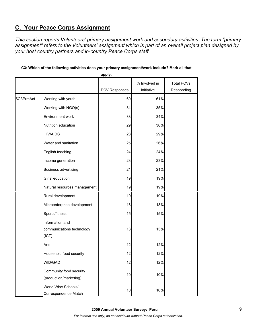# **C. Your Peace Corps Assignment**

*This section reports Volunteers' primary assignment work and secondary activities. The term "primary assignment" refers to the Volunteers' assignment which is part of an overall project plan designed by your host country partners and in-country Peace Corps staff.* 

|            |                                                       | apply.        |               |                   |
|------------|-------------------------------------------------------|---------------|---------------|-------------------|
|            |                                                       |               | % Involved in | <b>Total PCVs</b> |
|            |                                                       | PCV Responses | Initiative    | Responding        |
| \$C3PrmAct | Working with youth                                    | 60            | 61%           |                   |
|            | Working with NGO(s)                                   | 34            | 35%           |                   |
|            | Environment work                                      | 33            | 34%           |                   |
|            | Nutrition education                                   | 29            | 30%           |                   |
|            | <b>HIV/AIDS</b>                                       | 28            | 29%           |                   |
|            | Water and sanitation                                  | 25            | 26%           |                   |
|            | English teaching                                      | 24            | 24%           |                   |
|            | Income generation                                     | 23            | 23%           |                   |
|            | <b>Business advertising</b>                           | 21            | 21%           |                   |
|            | Girls' education                                      | 19            | 19%           |                   |
|            | Natural resources management                          | 19            | 19%           |                   |
|            | Rural development                                     | 19            | 19%           |                   |
|            | Microenterprise development                           | 18            | 18%           |                   |
|            | Sports/fitness                                        | 15            | 15%           |                   |
|            | Information and<br>communications technology<br>(ICT) | 13            | 13%           |                   |
|            | Arts                                                  | 12            | 12%           |                   |
|            | Household food security                               | 12            | 12%           |                   |
|            | WID/GAD                                               | 12            | 12%           |                   |
|            | Community food security<br>(production/marketing)     | 10            | 10%           |                   |
|            | World Wise Schools/<br>Correspondence Match           | 10            | 10%           |                   |

## **C3: Which of the following activities does your primary assignment/work include? Mark all that**

**2009 Annual Volunteer Survey: Peru**  *For internal use only; do not distribute without Peace Corps authorization.*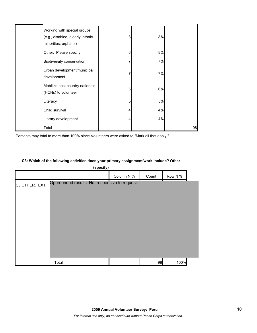| Working with special groups<br>(e.g., disabled, elderly, ethnic<br>minorities, orphans) | 8 | 8% |    |
|-----------------------------------------------------------------------------------------|---|----|----|
| Other: Please specify                                                                   | 8 | 8% |    |
| Biodiversity conservation                                                               |   | 7% |    |
| Urban development/municipal<br>development                                              |   | 7% |    |
| Mobilize host country nationals<br>(HCNs) to volunteer                                  | 6 | 6% |    |
| Literacy                                                                                | 5 | 5% |    |
| Child survival                                                                          | 4 | 4% |    |
| Library development                                                                     |   | 4% |    |
| Total                                                                                   |   |    | 98 |

Percents may total to more than 100% since Volunteers were asked to "Mark all that apply."

### **C3: Which of the following activities does your primary assignment/work include? Other**

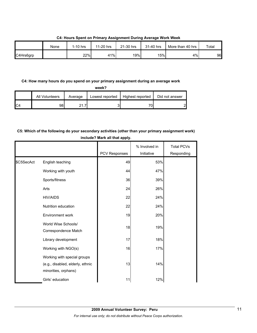|           | None | $1-10$ hrs | 11-20 hrs | 21-30 hrs | 31-40 hrs | More than 40 hrs | Total |
|-----------|------|------------|-----------|-----------|-----------|------------------|-------|
| C4Hrs6grp |      | 22%        | 41%       | 19%       | 15%       | 4%               | 96    |

**C4: Hours Spent on Primary Assignment During Average Work Week**

### **C4: How many hours do you spend on your primary assignment during an average work**

|                | All Volunteers | Average                   | Lowest reported | Highest reported | Did not answer |
|----------------|----------------|---------------------------|-----------------|------------------|----------------|
| C <sub>4</sub> | 98             | $\sim$ $\sim$<br><u>.</u> |                 | 70               | റ              |

# **C5: Which of the following do your secondary activities (other than your primary assignment work) include? Mark all that apply.**

|            |                                                                                         | PCV Responses | % Involved in<br>Initiative | <b>Total PCVs</b><br>Responding |
|------------|-----------------------------------------------------------------------------------------|---------------|-----------------------------|---------------------------------|
| \$C5SecAct | English teaching                                                                        | 49            | 53%                         |                                 |
|            | Working with youth                                                                      | 44            | 47%                         |                                 |
|            | Sports/fitness                                                                          | 36            | 39%                         |                                 |
|            | Arts                                                                                    | 24            | 26%                         |                                 |
|            | <b>HIV/AIDS</b>                                                                         | 22            | 24%                         |                                 |
|            | Nutrition education                                                                     | 22            | 24%                         |                                 |
|            | <b>Environment work</b>                                                                 | 19            | 20%                         |                                 |
|            | World Wise Schools/<br>Correspondence Match                                             | 18            | 19%                         |                                 |
|            | Library development                                                                     | 17            | 18%                         |                                 |
|            | Working with NGO(s)                                                                     | 16            | 17%                         |                                 |
|            | Working with special groups<br>(e.g., disabled, elderly, ethnic<br>minorities, orphans) | 13            | 14%                         |                                 |
|            | Girls' education                                                                        | 11            | 12%                         |                                 |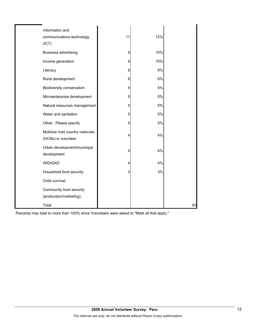| Information and                                        |    |     |    |
|--------------------------------------------------------|----|-----|----|
| communications technology                              | 11 | 12% |    |
| (ICT)                                                  |    |     |    |
| <b>Business advertising</b>                            | 9  | 10% |    |
| Income generation                                      | 9  | 10% |    |
| Literacy                                               | 8  | 9%  |    |
| Rural development                                      | 6  | 6%  |    |
| Biodiversity conservation                              | 5  | 5%  |    |
| Microenterprise development                            | 5  | 5%  |    |
| Natural resources management                           | 5  | 5%  |    |
| Water and sanitation                                   | 5  | 5%  |    |
| Other: Please specify                                  | 5  | 5%  |    |
| Mobilize host country nationals<br>(HCNs) to volunteer | 4  | 4%  |    |
| Urban development/municipal                            | 4  | 4%  |    |
| development                                            |    |     |    |
| WID/GAD                                                | 4  | 4%  |    |
| Household food security                                | 3  | 3%  |    |
| Child survival                                         |    |     |    |
| Community food security<br>(production/marketing)      |    |     |    |
| Total                                                  |    |     | 93 |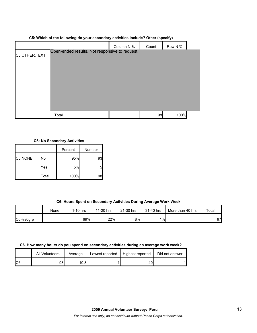## **C5: Which of the following do your secondary activities include? Other (specify)**

|               |                                                | Column N % | Count | Row N % |  |
|---------------|------------------------------------------------|------------|-------|---------|--|
| C5.OTHER.TEXT | Open-ended results. Not responsive to request. |            |       |         |  |
|               |                                                |            |       |         |  |
|               |                                                |            |       |         |  |
|               |                                                |            |       |         |  |
|               |                                                |            |       |         |  |
|               |                                                |            |       |         |  |
|               |                                                |            |       |         |  |
|               | Total                                          |            | 98    | 100%    |  |

#### **C5: No Secondary Activities**

|         |       | Percent | Number |
|---------|-------|---------|--------|
| C5.NONE | No    | 95%     | 93     |
|         | Yes   | 5%      |        |
|         | Total | 100%    | 98     |

## **C6: Hours Spent on Secondary Activities During Average Work Week**

|           | None | $1-10$ hrs | 11-20 hrs | 21-30 hrs | 31-40 hrs | More than 40 hrs | Total |
|-----------|------|------------|-----------|-----------|-----------|------------------|-------|
| C6Hrs6grp |      | 69%        | 22%       | 8%        | $1\%$     |                  | 97    |

#### **C6. How many hours do you spend on secondary activities during an average work week?**

|     | All Volunteers | Average | Lowest reported | Highest reported | Did not answer |
|-----|----------------|---------|-----------------|------------------|----------------|
| IC6 | 98             | 10.8l   |                 | 40.              |                |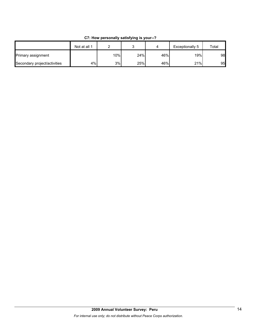|                              | Not at all 1 |        |     |     | Exceptionally 5  | Total |
|------------------------------|--------------|--------|-----|-----|------------------|-------|
| Primary assignment           |              | $10\%$ | 24% | 46% | 19% <sub>I</sub> | 98    |
| Secondary project/activities | 4%           | 3%     | 25% | 46% | 21%              | 95    |

**C7: How personally satisfying is your--?**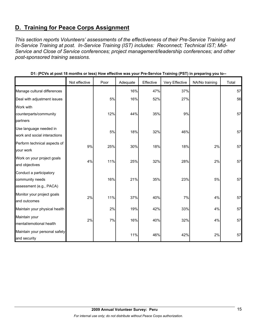# **D. Training for Peace Corps Assignment**

*This section reports Volunteers' assessments of the effectiveness of their Pre-Service Training and In-Service Training at post. In-Service Training (IST) includes: Reconnect; Technical IST; Mid-Service and Close of Service conferences; project management/leadership conferences; and other post-sponsored training sessions.* 

|                                                                       | Not effective | Poor | Adequate | Effective | Very Effective | NA/No training | Total |
|-----------------------------------------------------------------------|---------------|------|----------|-----------|----------------|----------------|-------|
| Manage cultural differences                                           |               |      | 16%      | 47%       | 37%            |                | 57    |
| Deal with adjustment issues                                           |               | 5%   | 16%      | 52%       | 27%            |                | 56    |
| Work with                                                             |               |      |          |           |                |                |       |
| counterparts/community                                                |               | 12%  | 44%      | 35%       | 9%             |                | 57    |
| partners                                                              |               |      |          |           |                |                |       |
| Use language needed in<br>work and social interactions                |               | 5%   | 18%      | 32%       | 46%            |                | 57    |
| Perform technical aspects of<br>your work                             | 9%            | 25%  | 30%      | 18%       | 18%            | 2%             | 57    |
| Work on your project goals<br>and objectives                          | 4%            | 11%  | 25%      | 32%       | 28%            | 2%             | 57    |
| Conduct a participatory<br>community needs<br>assessment (e.g., PACA) |               | 16%  | 21%      | 35%       | 23%            | 5%             | 57    |
| Monitor your project goals<br>and outcomes                            | 2%            | 11%  | 37%      | 40%       | 7%             | 4%             | 57    |
| Maintain your physical health                                         |               | 2%   | 19%      | 42%       | 33%            | 4%             | 57    |
| Maintain your<br>mental/emotional health                              | 2%            | 7%   | 16%      | 40%       | 32%            | 4%             | 57    |
| Maintain your personal safety<br>and security                         |               |      | 11%      | 46%       | 42%            | 2%             | 57    |

**D1: (PCVs at post 18 months or less) How effective was your Pre-Service Training (PST) in preparing you to--**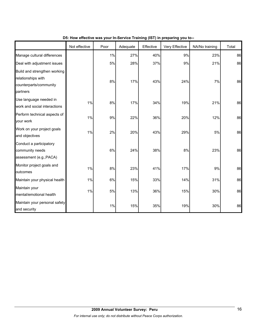|                                                                                          | Not effective | Poor | Adequate | Effective | Very Effective | NA/No training | Total |
|------------------------------------------------------------------------------------------|---------------|------|----------|-----------|----------------|----------------|-------|
| Manage cultural differences                                                              |               | 1%   | 27%      | 40%       | 9%             | 23%            | 86    |
| Deal with adjustment issues                                                              |               | 5%   | 28%      | 37%       | 9%             | 21%            | 86    |
| Build and strengthen working<br>relationships with<br>counterparts/community<br>partners |               | 8%   | 17%      | 43%       | 24%            | 7%             | 86    |
| Use language needed in<br>work and social interactions                                   | 1%            | 8%   | 17%      | 34%       | 19%            | 21%            | 86    |
| Perform technical aspects of<br>your work                                                | 1%            | 9%   | 22%      | 36%       | 20%            | 12%            | 86    |
| Work on your project goals<br>and objectives                                             | 1%            | 2%   | 20%      | 43%       | 29%            | 5%             | 86    |
| Conduct a participatory<br>community needs<br>assessment (e.g., PACA)                    |               | 6%   | 24%      | 38%       | 8%             | 23%            | 86    |
| Monitor project goals and<br>outcomes                                                    | 1%            | 8%   | 23%      | 41%       | 17%            | 9%             | 86    |
| Maintain your physical health                                                            | 1%            | 6%   | 15%      | 33%       | 14%            | 31%            | 86    |
| Maintain your<br>mental/emotional health                                                 | $1\%$         | 5%   | 13%      | 36%       | 15%            | 30%            | 86    |
| Maintain your personal safety<br>and security                                            |               | 1%   | 15%      | 35%       | 19%            | 30%            | 86    |

# **D5: How effective was your In-Service Training (IST) in preparing you to--**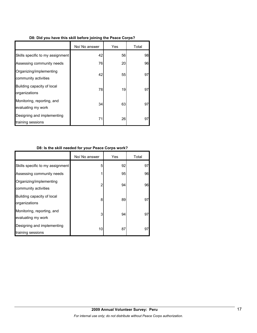|  |  |  | D8: Did you have this skill before joining the Peace Corps? |  |  |
|--|--|--|-------------------------------------------------------------|--|--|
|  |  |  |                                                             |  |  |

|                                                  | No/ No answer | Yes | Total |
|--------------------------------------------------|---------------|-----|-------|
| Skills specific to my assignment                 | 42            | 56  | 98    |
| Assessing community needs                        | 76            | 20  | 96    |
| Organizing/implementing<br>community activities  | 42            | 55  | 97    |
| Building capacity of local<br>organizations      | 78            | 19  | 97    |
| Monitoring, reporting, and<br>evaluating my work | 34            | 63  | 97    |
| Designing and implementing<br>training sessions  | 71            | 26  | 97    |

# **D8: Is the skill needed for your Peace Corps work?**

|                                                  | No/ No answer | Yes | Total |
|--------------------------------------------------|---------------|-----|-------|
| Skills specific to my assignment                 | 5             | 92  | 97    |
| Assessing community needs                        |               | 95  | 96    |
| Organizing/implementing<br>community activities  | 2             | 94  | 96    |
| Building capacity of local<br>organizations      | 8             | 89  | 97    |
| Monitoring, reporting, and<br>evaluating my work | 3             | 94  | 97    |
| Designing and implementing<br>training sessions  | 10            | 87  | 97    |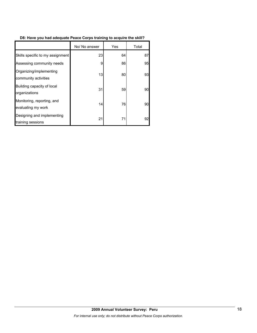# **D8: Have you had adequate Peace Corps training to acquire the skill?**

|                                                  | No/ No answer | Yes | Total |
|--------------------------------------------------|---------------|-----|-------|
| Skills specific to my assignment                 | 23            | 64  | 87    |
| Assessing community needs                        | 9             | 86  | 95    |
| Organizing/implementing<br>community activities  | 13            | 80  | 93    |
| Building capacity of local<br>organizations      | 31            | 59  | 90    |
| Monitoring, reporting, and<br>evaluating my work | 14            | 76  | 90    |
| Designing and implementing<br>training sessions  | 21            | 71  | 92    |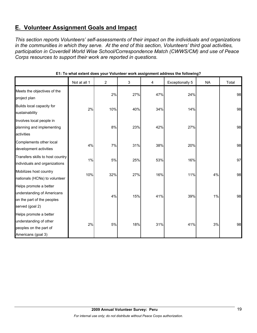# **E. Volunteer Assignment Goals and Impact**

*This section reports Volunteers' self-assessments of their impact on the individuals and organizations in the communities in which they serve. At the end of this section, Volunteers' third goal activities, participation in Coverdell World Wise School/Correspondence Match (CWWS/CM) and use of Peace Corps resources to support their work are reported in questions.* 

|                                                                                                       | Not at all 1 | $\overline{2}$ | 3   | 4   | <b>Exceptionally 5</b> | <b>NA</b> | Total |
|-------------------------------------------------------------------------------------------------------|--------------|----------------|-----|-----|------------------------|-----------|-------|
| Meets the objectives of the<br>project plan                                                           |              | 2%             | 27% | 47% | 24%                    |           | 98    |
| Builds local capacity for<br>sustainability                                                           | 2%           | 10%            | 40% | 34% | 14%                    |           | 98    |
| Involves local people in<br>planning and implementing<br>activities                                   |              | 8%             | 23% | 42% | 27%                    |           | 98    |
| Complements other local<br>development activities                                                     | 4%           | 7%             | 31% | 38% | 20%                    |           | 98    |
| Transfers skills to host country<br>individuals and organizations                                     | 1%           | 5%             | 25% | 53% | 16%                    |           | 97    |
| Mobilizes host country<br>nationals (HCNs) to volunteer                                               | 10%          | 32%            | 27% | 16% | 11%                    | 4%        | 98    |
| Helps promote a better<br>understanding of Americans<br>on the part of the peoples<br>served (goal 2) |              | 4%             | 15% | 41% | 39%                    | 1%        | 98    |
| Helps promote a better<br>understanding of other<br>peoples on the part of<br>Americans (goal 3)      | 2%           | 5%             | 18% | 31% | 41%                    | 3%        | 98    |

## **E1: To what extent does your Volunteer work assignment address the following?**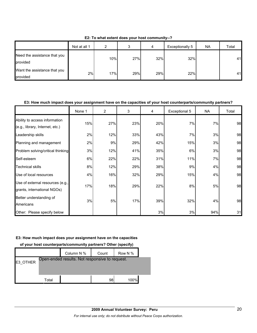|                                          | Not at all 1 | ົ   | ມ   | 4   | Exceptionally 5 | NA. | Total |
|------------------------------------------|--------------|-----|-----|-----|-----------------|-----|-------|
| Need the assistance that you<br>provided |              | 10% | 27% | 32% | 32%             |     | 41    |
| Want the assistance that you<br>provided | 2%           | 17% | 29% | 29% | 22%             |     | 41    |

**E2: To what extent does your host community--?**

### **E3: How much impact does your assignment have on the capacities of your host counterparts/community partners?**

|                                                                  | None 1 | $\overline{2}$ | 3   | 4   | Exceptional 5 | NA  | Total |
|------------------------------------------------------------------|--------|----------------|-----|-----|---------------|-----|-------|
| Ability to access information<br>(e.g., library, Internet, etc.) | 15%    | 27%            | 23% | 20% | 7%            | 7%  | 98    |
| Leadership skills                                                | 2%     | 12%            | 33% | 43% | 7%            | 3%  | 98    |
| Planning and management                                          | 2%     | 9%             | 29% | 42% | 15%           | 3%  | 98    |
| Problem solving/critical thinking                                | 3%     | 12%            | 41% | 35% | 6%            | 3%  | 98    |
| Self-esteem                                                      | 6%     | 22%            | 22% | 31% | 11%           | 7%  | 98    |
| <b>Technical skills</b>                                          | 8%     | 12%            | 29% | 38% | 9%            | 4%  | 98    |
| Use of local resources                                           | 4%     | 16%            | 32% | 29% | 15%           | 4%  | 98    |
| Use of external resources (e.g.,<br>grants, international NGOs)  | 17%    | 18%            | 29% | 22% | 8%            | 5%  | 98    |
| Better understanding of<br>Americans                             | 3%     | 5%             | 17% | 39% | 32%           | 4%  | 98    |
| Other: Please specify below                                      |        |                |     | 3%  | 3%            | 94% | 31    |

#### **E3: How much impact does your assignment have on the capacities**

**of your host counterparts/community partners? Other (specify)**

|          |       | Column N %                                     | Count | Row N % |  |
|----------|-------|------------------------------------------------|-------|---------|--|
| E3 OTHER |       | Open-ended results. Not responsive to request. |       |         |  |
|          |       |                                                |       |         |  |
|          | Total |                                                | 98    | 100%    |  |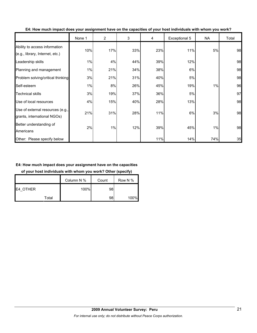|                                                                  | None 1 | $\overline{2}$ | 3   | 4   | Exceptional 5 | <b>NA</b> | Total |
|------------------------------------------------------------------|--------|----------------|-----|-----|---------------|-----------|-------|
| Ability to access information<br>(e.g., library, Internet, etc.) | 10%    | 17%            | 33% | 23% | 11%           | 5%        | 98    |
| Leadership skills                                                | 1%     | 4%             | 44% | 39% | 12%           |           | 98    |
| Planning and management                                          | 1%     | 21%            | 34% | 38% | 6%            |           | 98    |
| Problem solving/critical thinking                                | 3%     | 21%            | 31% | 40% | 5%            |           | 98    |
| Self-esteem                                                      | 1%     | 8%             | 26% | 45% | 19%           | 1%        | 96    |
| <b>Technical skills</b>                                          | 3%     | 19%            | 37% | 36% | 5%            |           | 97    |
| Use of local resources                                           | 4%     | 15%            | 40% | 28% | 13%           |           | 98    |
| Use of external resources (e.g.,<br>grants, international NGOs)  | 21%    | 31%            | 28% | 11% | 6%            | 3%        | 98    |
| Better understanding of<br>Americans                             | 2%     | 1%             | 12% | 39% | 45%           | 1%        | 98    |
| Other: Please specify below                                      |        |                |     | 11% | 14%           | 74%       | 35    |

**E4: How much impact does your assignment have on the capacities of your host individuals with whom you work?**

## **E4: How much impact does your assignment have on the capacities**

**of your host individuals with whom you work? Other (specify)**

|          | Column N % | Count | Row N % |
|----------|------------|-------|---------|
| E4 OTHER | 100%       | 98    |         |
| Total    |            | 98    | 100%    |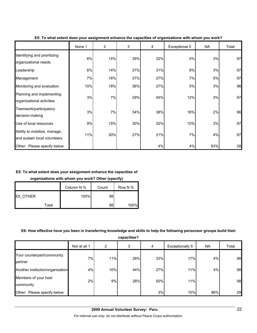|                                                              | None 1 | $\overline{2}$ | 3   | 4   | Exceptional 5 | <b>NA</b> | Total |
|--------------------------------------------------------------|--------|----------------|-----|-----|---------------|-----------|-------|
| Identifying and prioritizing<br>organizational needs         | 6%     | 14%            | 39% | 32% | 5%            | 3%        | 97    |
| Leadership                                                   | 6%     | 14%            | 37% | 31% | 8%            | 3%        | 97    |
| Management                                                   | 7%     | 16%            | 37% | 27% | 7%            | 5%        | 97    |
| Monitoring and evaluation                                    | 10%    | 18%            | 36% | 27% | 5%            | 3%        | 96    |
| Planning and implementing<br>organizational activities       | 3%     | 7%             | 29% | 45% | 12%           | 3%        | 97    |
| Teamwork/participatory<br>decision-making                    | 3%     | 7%             | 34% | 38% | 16%           | 2%        | 96    |
| Use of local resources                                       | 9%     | 15%            | 30% | 32% | 10%           | 3%        | 97    |
| Ability to mobilize, manage,<br>and sustain local volunteers | 11%    | 30%            | 27% | 21% | 7%            | 4%        | 97    |
| Other: Please specify below                                  |        |                |     | 4%  | 4%            | 93%       | 28    |

**E5: To what extent does your assignment enhance the capacities of organizations with whom you work?**

## **E5: To what extent does your assignment enhance the capacities of**

**organizations with whom you work? Other (specify)**

|          |       | Column N % | Count | Row N % |
|----------|-------|------------|-------|---------|
| E5 OTHER |       | 100%       | 98    |         |
|          | Total |            | 98    | 100%    |

## **E6: How effective have you been in transferring knowledge and skills to help the following personsor groups build their**

**capacities?**

|                                       | Not at all 1 | 2   | 3   | 4   | Exceptionally 5 | <b>NA</b> | Total |
|---------------------------------------|--------------|-----|-----|-----|-----------------|-----------|-------|
| Your counterpart/community<br>partner | 7%           | 11% | 28% | 33% | 17%             | 4%        | 98    |
| Another institution/organization      | 4%           | 10% | 44% | 27% | 11%             | 4%        | 98    |
| Members of your host<br>community     | 2%           | 9%  | 28% | 50% | 11%             |           | 98    |
| Other: Please specify below           |              |     |     | 3%  | 10%             | 86%       | 29    |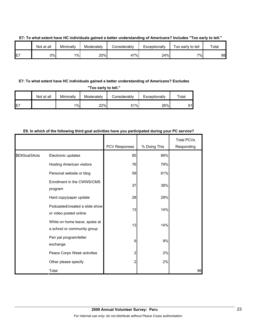|         | Not at all | Minimally | Moderately | Considerabl∨ | Exceptionally | Too early to tell | Total |
|---------|------------|-----------|------------|--------------|---------------|-------------------|-------|
| F7<br>┕ | 0%l        | $1\%$     | 20%        | 47%          | 24%           | 7% <sub>1</sub>   | 98    |

#### **E7: To what extent have HC individuals gained a better understanding of Americans? Includes "Too early to tell."**

## **E7: To what extent have HC individuals gained a better understanding of Americans? Excludes**

**"Too early to tell."**

|     | Not at all | Minimally | Moderately | Considerably | Exceptionally | $\tau$ otal |
|-----|------------|-----------|------------|--------------|---------------|-------------|
| IE7 |            | 1%        | 22%        | 51%          | 26%           | ۵1          |

#### **E9. In which of the following third goal activities have you participated during your PC service?**

|               |                                                              | PCV Responses | % Doing This | <b>Total PCVs</b><br>Responding |
|---------------|--------------------------------------------------------------|---------------|--------------|---------------------------------|
| \$E9Goal3Acts | Electronic updates                                           | 85            | 89%          |                                 |
|               | Hosting American visitors                                    | 76            | 79%          |                                 |
|               | Personal website or blog                                     | 59            | 61%          |                                 |
|               | Enrollment in the CWWS/CMS<br>program                        | 37            | 39%          |                                 |
|               | Hard copy/paper update                                       | 28            | 29%          |                                 |
|               | Podcasted/created a slide show<br>or video posted online     | 13            | 14%          |                                 |
|               | While on home leave, spoke at<br>a school or community group | 13            | 14%          |                                 |
|               | Pen pal program/letter<br>exchange                           | 9             | 9%           |                                 |
|               | Peace Corps Week activities                                  | 2             | 2%           |                                 |
|               | Other please specify                                         | 2             | 2%           |                                 |
|               | Total                                                        |               |              | 96                              |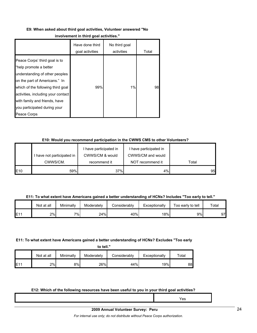#### **E9: When asked about third goal activities, Volunteer answered "No**

#### **involvement in third goal activities."**

|                                                                                                                                                                                                                                                                                       | Have done third<br>goal activities | No third goal<br>activities | Total |
|---------------------------------------------------------------------------------------------------------------------------------------------------------------------------------------------------------------------------------------------------------------------------------------|------------------------------------|-----------------------------|-------|
| Peace Corps' third goal is to<br>"help promote a better<br>understanding of other peoples<br>on the part of Americans." In<br>which of the following third goal<br>activities, including your contact<br>with family and friends, have<br>you participated during your<br>Peace Corps | 99%                                | $1\%$                       | 98    |

#### **E10: Would you recommend participation in the CWWS CMS to other Volunteers?**

|                 |                          | I have participated in | I have participated in |       |
|-----------------|--------------------------|------------------------|------------------------|-------|
|                 | have not participated in | CWWS/CM & would        | CWWS/CM and would      |       |
|                 | CWWS/CM.                 | recommend it           | NOT recommend it       | Total |
| E <sub>10</sub> | 59%                      | 37%                    | 4%                     | 95    |

#### **E11: To what extent have Americans gained a better understanding of HCNs? Includes "Too early to tell."**

|     | Not at all | Minimally | Moderately | Considerablv | Exceptionally | Too early to tell | Total |
|-----|------------|-----------|------------|--------------|---------------|-------------------|-------|
| E11 | 2%         | $7\%$     | 24%        | 40%          | 18%l          | 9%                | 97    |

#### **E11: To what extent have Americans gained a better understanding of HCNs? Excludes "Too early**

|                 | Not at all | Minimallv | Moderately | Considerably | Exceptionally | $\tau$ otal |
|-----------------|------------|-----------|------------|--------------|---------------|-------------|
| E1 <sup>4</sup> | 2%         | 8%        | 26%        | 44%          | 19%           | 881         |

## **E12: Which of the following resources have been useful to you in your third goal activities?**

| ETZ: WHICH OF the following resources have been useful to you in your third goal activities? |     |  |  |  |  |  |
|----------------------------------------------------------------------------------------------|-----|--|--|--|--|--|
|                                                                                              | res |  |  |  |  |  |
|                                                                                              |     |  |  |  |  |  |

*For internal use only; do not distribute without Peace Corps authorization.*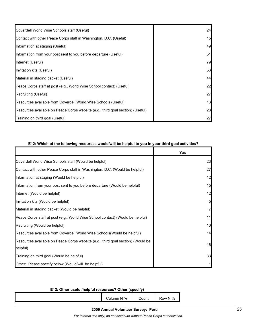| Coverdell World Wise Schools staff (Useful)                                    | 24 |
|--------------------------------------------------------------------------------|----|
| Contact with other Peace Corps staff in Washington, D.C. (Useful)              | 15 |
| Information at staging (Useful)                                                | 49 |
| Information from your post sent to you before departure (Useful)               | 51 |
| Internet (Useful)                                                              | 79 |
| Invitation kits (Useful)                                                       | 53 |
| Material in staging packet (Useful)                                            | 44 |
| Peace Corps staff at post (e.g., World Wise School contact) (Useful)           | 22 |
| Recruiting (Useful)                                                            | 27 |
| Resources available from Coverdell World Wise Schools (Useful)                 | 13 |
| Resources available on Peace Corps website (e.g., third goal section) (Useful) | 28 |
| Training on third goal (Useful)                                                | 27 |

|                                                                                             | Yes            |
|---------------------------------------------------------------------------------------------|----------------|
| Coverdell World Wise Schools staff (Would be helpful)                                       | 23             |
| Contact with other Peace Corps staff in Washington, D.C. (Would be helpful)                 | 27             |
| Information at staging (Would be helpful)                                                   | 12             |
| Information from your post sent to you before departure (Would be helpful)                  | 15             |
| Internet (Would be helpful)                                                                 | 12             |
| Invitation kits (Would be helpful)                                                          | 5              |
| Material in staging packet (Would be helpful)                                               | $\overline{7}$ |
| Peace Corps staff at post (e.g., World Wise School contact) (Would be helpful)              | 11             |
| Recruiting (Would be helpful)                                                               | 10             |
| Resources available from Coverdell World Wise Schools (Would be helpful)                    | 14             |
| Resources available on Peace Corps website (e.g., third goal section) (Would be<br>helpful) | 16             |
| Training on third goal (Would be helpful)                                                   | 33             |
| Other: Please specify below (Would/will be helpful)                                         | 1              |

# **E12: Which of the following resources would/will be helpful to you in your third goal activities?**

# **E12: Other useful/helpful resources? Other (specify)**

| N %<br>∠olumn | Count | $\overline{\phantom{0}}$<br>$\cdot$ N %<br>Row |
|---------------|-------|------------------------------------------------|
|               |       |                                                |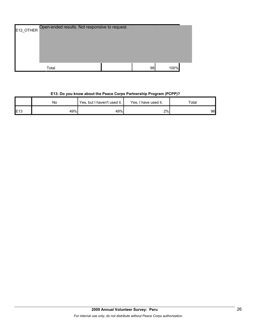| E12_OTHER | Open-ended results. Not responsive to request. |    |      |  |
|-----------|------------------------------------------------|----|------|--|
|           | Total                                          | 98 | 100% |  |

# **E13: Do you know about the Peace Corps Partnership Program (PCPP)?**

|     | No  | Yes, but I haven't used it. | Yes. I<br>I have used it. | Total |
|-----|-----|-----------------------------|---------------------------|-------|
| E13 | 49% | 49%                         | 2%                        | 96    |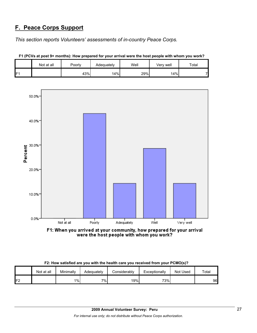# **F. Peace Corps Support**

*This section reports Volunteers' assessments of in-country Peace Corps.* 

|                 | Not at all | Poorly | Adequately | Well | Very well | Total |
|-----------------|------------|--------|------------|------|-----------|-------|
| IF <sub>1</sub> |            | 43%    | 14%        | 29%  | 14%       |       |





F1: When you arrived at your community, how prepared for your arrival were the host people with whom you work?

| F2: How satisfied are you with the health care you received from your PCMO(s)? |  |
|--------------------------------------------------------------------------------|--|
|--------------------------------------------------------------------------------|--|

|         | Not at all | Minimally | Adequately | Considerablv | Exceptionally | Not Used | Total |
|---------|------------|-----------|------------|--------------|---------------|----------|-------|
| F2<br>L |            | $1\%$     | 7%         | 19%          | 73%           |          | 96    |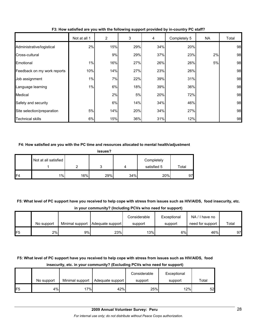|                             | Not at all 1 | 2   | 3   | 4   | Completely 5 | NA | Total |
|-----------------------------|--------------|-----|-----|-----|--------------|----|-------|
| Administrative/logistical   | 2%           | 15% | 29% | 34% | 20%          |    | 98    |
| Cross-cultural              |              | 9%  | 29% | 37% | 23%          | 2% | 98    |
| Emotional                   | 1%           | 16% | 27% | 26% | 26%          | 5% | 98    |
| Feedback on my work reports | 10%          | 14% | 27% | 23% | 26%          |    | 98    |
| Job assignment              | 1%           | 7%  | 22% | 39% | 31%          |    | 98    |
| Language learning           | $1\%$        | 6%  | 18% | 39% | 36%          |    | 98    |
| Medical                     |              | 2%  | 5%  | 20% | 72%          |    | 98    |
| Safety and security         |              | 6%  | 14% | 34% | 46%          |    | 98    |
| Site selection/preparation  | 5%           | 14% | 20% | 34% | 27%          |    | 98    |
| <b>Technical skills</b>     | 6%           | 15% | 36% | 31% | 12%          |    | 98    |

**F3: How satisfied are you with the following support provided by in-country PC staff?**

#### **F4: How satisfied are you with the PC time and resources allocated to mental health/adjustment**

| issues?        |                      |     |     |     |                           |       |  |
|----------------|----------------------|-----|-----|-----|---------------------------|-------|--|
|                | Not at all satisfied |     |     |     | Completely<br>satisfied 5 | Total |  |
| F <sub>4</sub> | 1%                   | 16% | 29% | 34% | 20%                       | 97    |  |

**F5: What level of PC support have you received to help cope with stress from issues such as HIV/AIDS, food insecurity, etc. in your community? (Including PCVs w/no need for support)**

|     |            |    |                                    | Considerable | Exceptional | NA/I have no     |       |
|-----|------------|----|------------------------------------|--------------|-------------|------------------|-------|
|     | No support |    | Minimal support   Adequate support | support      | support     | need for support | Total |
| IF5 | 2%         | 9% | 23%                                | 13%          | 6%          | 46%              | 97    |

# **F5: What level of PC support have you received to help cope with stress from issues such as HIV/AIDS, food insecurity, etc. in your community? (Excluding PCVs w/no need for support)**

|                 |            |                 |                  | Considerable | Exceptional |       |
|-----------------|------------|-----------------|------------------|--------------|-------------|-------|
|                 | No support | Minimal support | Adequate support | support      | support     | Total |
| IF <sub>5</sub> | 4%         | 17%             | 42%              | 25%          | 12%         | 52    |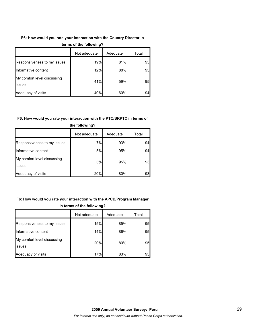## **F6: How would you rate your interaction with the Country Director in**

|                                       | Not adequate | Adequate | Total |
|---------------------------------------|--------------|----------|-------|
| Responsiveness to my issues           | 19%          | 81%      | 95    |
| Informative content                   | 12%          | 88%      | 95    |
| My comfort level discussing<br>issues | 41%          | 59%      | 95    |
| Adequacy of visits                    | 40%          | 60%      | 94    |

#### **terms of the following?**

## **F6: How would you rate your interaction with the PTO/SRPTC in terms of**

|                                       | Not adequate | Adequate | Total |  |  |
|---------------------------------------|--------------|----------|-------|--|--|
| Responsiveness to my issues           | 7%           | 93%      | 94    |  |  |
| Informative content                   | 5%           | 95%      | 94    |  |  |
| My comfort level discussing<br>issues | 5%           | 95%      | 93    |  |  |
| Adequacy of visits                    | 20%          | 80%      | 93    |  |  |

# **the following?**

# **F6: How would you rate your interaction with the APCD/Program Manager in terms of the following?**

|                                       | Not adequate | Adequate | Total |
|---------------------------------------|--------------|----------|-------|
| Responsiveness to my issues           | 15%          | 85%      | 95    |
| Informative content                   | 14%          | 86%      | 95    |
| My comfort level discussing<br>issues | 20%          | 80%      | 95    |
| Adequacy of visits                    | 17%          | 83%      | 95    |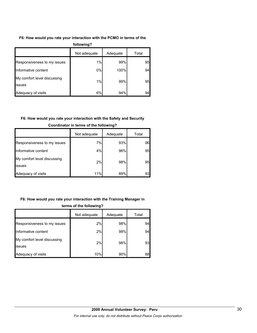## **F6: How would you rate your interaction with the PCMO in terms of the**

| following?                            |              |          |       |  |
|---------------------------------------|--------------|----------|-------|--|
|                                       | Not adequate | Adequate | Total |  |
| Responsiveness to my issues           | 1%           | 99%      | 95    |  |
| Informative content                   | $0\%$        | 100%     | 94    |  |
| My comfort level discussing<br>issues | 1%           | 99%      | 95    |  |
| Adequacy of visits                    | 6%           | 94%      | 94    |  |

# **F6: How would you rate your interaction with the Safety and Security**

|                                       | Not adequate | Adequate | Total |
|---------------------------------------|--------------|----------|-------|
| Responsiveness to my issues           | 7%           | 93%      | 961   |
| Informative content                   | 4%           | 96%      | 95    |
| My comfort level discussing<br>issues | 2%           | 98%      | 95    |
| Adequacy of visits                    | 11%          | 89%      | 93    |

## **Coordinator in terms of the following?**

# **F6: How would you rate your interaction with the Training Manager in**

|                                               | Not adequate | Adequate | Total |
|-----------------------------------------------|--------------|----------|-------|
| Responsiveness to my issues                   | 2%           | 98%      | 94    |
| Informative content                           | 2%           | 98%      | 94    |
| My comfort level discussing<br><b>lissues</b> | 2%           | 98%      | 93    |
| Adequacy of visits                            | 10%          | 90%      | 88    |

## **terms of the following?**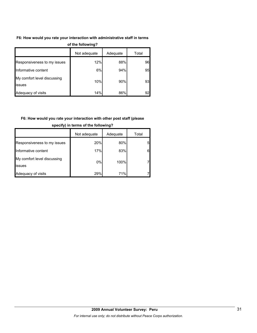## **F6: How would you rate your interaction with administrative staff in terms**

| vi ulu lvilvillig i                   |              |          |       |  |  |
|---------------------------------------|--------------|----------|-------|--|--|
|                                       | Not adequate | Adequate | Total |  |  |
| Responsiveness to my issues           | 12%          | 88%      | 96    |  |  |
| Informative content                   | 6%           | 94%      | 95    |  |  |
| My comfort level discussing<br>issues | 10%          | 90%      | 93    |  |  |
| Adequacy of visits                    | 14%          | 86%      | 92    |  |  |

#### **of the following?**

# **F6: How would you rate your interaction with other post staff (please**

|                                       | Not adequate | Adequate | Total |
|---------------------------------------|--------------|----------|-------|
| Responsiveness to my issues           | 20%          | 80%      | 5     |
| Informative content                   | 17%          | 83%      | 6     |
| My comfort level discussing<br>issues | 0%           | 100%     |       |
| Adequacy of visits                    | 29%          | 71%      |       |

#### **specify) in terms of the following?**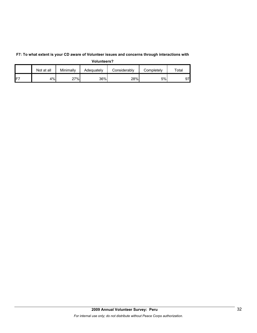|                 | Not at all | Minimally | Adequately | Considerablv | Completelv | $\tau$ otal |
|-----------------|------------|-----------|------------|--------------|------------|-------------|
| IF <sub>7</sub> | 4%         | 27%       | 36%        | 28%          | 5%         | 97          |

**F7: To what extent is your CD aware of Volunteer issues and concerns through interactions with Volunteers?**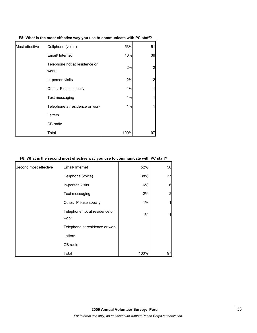| Most effective | Cellphone (voice)                     | 53%  | 51             |
|----------------|---------------------------------------|------|----------------|
|                | Email/ Internet                       | 40%  | 39             |
|                | Telephone not at residence or<br>work | 2%   | $\overline{2}$ |
|                | In-person visits                      | 2%   | $\overline{2}$ |
|                | Other. Please specify                 | 1%   | 1              |
|                | Text messaging                        | 1%   | $\mathbf{1}$   |
|                | Telephone at residence or work        | 1%   | 1              |
|                | Letters                               |      |                |
|                | CB radio                              |      |                |
|                | Total                                 | 100% | 97             |

**F8: What is the most effective way you use to communicate with PC staff?**

#### **F8: What is the second most effective way you use to communicate with PC staff?**

| Second most effective | Email/ Internet                       | 52%  | 50 |
|-----------------------|---------------------------------------|------|----|
|                       | Cellphone (voice)                     | 38%  | 37 |
|                       | In-person visits                      | 6%   | 6  |
|                       | Text messaging                        | 2%   |    |
|                       | Other. Please specify                 | 1%   |    |
|                       | Telephone not at residence or<br>work | 1%   |    |
|                       | Telephone at residence or work        |      |    |
|                       | Letters                               |      |    |
|                       | CB radio                              |      |    |
|                       | Total                                 | 100% | 97 |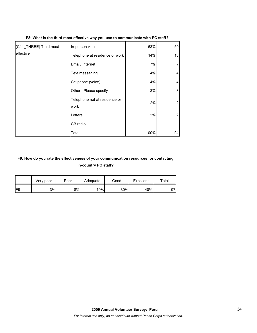| (C11_THREE) Third most | In-person visits                      | 63%  | 59             |
|------------------------|---------------------------------------|------|----------------|
| leffective             | Telephone at residence or work        | 14%  | 13             |
|                        | Email/ Internet                       | 7%   |                |
|                        | Text messaging                        | 4%   |                |
|                        | Cellphone (voice)                     | 4%   |                |
|                        | Other. Please specify                 | 3%   | 3              |
|                        | Telephone not at residence or<br>work | 2%   | $\overline{2}$ |
|                        | Letters                               | 2%   |                |
|                        | CB radio                              |      |                |
|                        | Total                                 | 100% | 94             |

# **F8: What is the third most effective way you use to communicate with PC staff?**

# **F9: How do you rate the effectiveness of your communication resources for contacting in-country PC staff?**

|                 | Very poor | Poor | Adequate | Good | Excellent | $\tau$ otai |
|-----------------|-----------|------|----------|------|-----------|-------------|
| IF <sub>9</sub> | 3%        | 8%   | 19%      | 30%  | 40%       | 97          |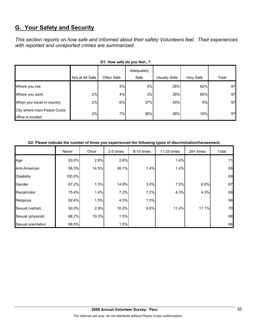# **G. Your Safety and Security**

*This section reports on how safe and informed about their safety Volunteers feel. Their experiences with reported and unreported crimes are summarized.* 

| <b>UT. TIOW SAIG UP YOU IGGI!</b>                |                 |            |                    |              |           |       |  |  |
|--------------------------------------------------|-----------------|------------|--------------------|--------------|-----------|-------|--|--|
|                                                  | Not at All Safe | Often Safe | Adequately<br>Safe | Usually Safe | Very Safe | Total |  |  |
| Where you live                                   |                 | 5%         | <b>5%</b>          | 28%          | 62%       | 97    |  |  |
| Where you work                                   | 2%              | 4%         | 3%                 | 26%          | 65%       | 97    |  |  |
| When you travel in-country                       | 2%              | 6%         | 37%                | 45%          | 9%        | 97    |  |  |
| City where main Peace Corps<br>office is located | 2%              | 7%         | 36%                | 38%          | 16%       | 97    |  |  |

#### **G2: Please indicate the number of times you experienced the following types of discrimination/harassment.**

|                    | Never  | Once  | 2-5 times | 6-10 times | 11-25 times | $26+$ times | Total |
|--------------------|--------|-------|-----------|------------|-------------|-------------|-------|
| Age                | 93.0%  | 2.8%  | 2.8%      |            | 1.4%        |             | 71    |
| Anti-American      | 56.5%  | 14.5% | 26.1%     | 1.4%       | 1.4%        |             | 69    |
| <b>Disability</b>  | 100.0% |       |           |            |             |             | 69    |
| Gender             | 67.2%  | 1.5%  | 14.9%     | 3.0%       | 7.5%        | 6.0%        | 67    |
| Racial/color       | 75.4%  | 1.4%  | 7.2%      | 7.2%       | 4.3%        | 4.3%        | 69    |
| Religious          | 92.4%  | 1.5%  | 4.5%      | 1.5%       |             |             | 66    |
| Sexual (verbal)    | 50.0%  | 2.9%  | 10.0%     | 8.6%       | 11.4%       | 17.1%       | 70    |
| Sexual (physical)  | 88.2%  | 10.3% | 1.5%      |            |             |             | 68    |
| Sexual orientation | 98.5%  |       | 1.5%      |            |             |             | 66    |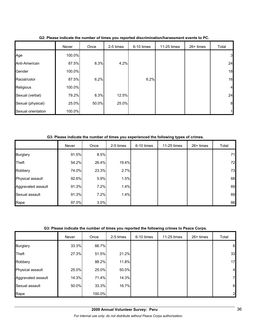|                    | Never  | Once  | 2-5 times | 6-10 times | 11-25 times | $26+$ times | Total            |
|--------------------|--------|-------|-----------|------------|-------------|-------------|------------------|
| Age                | 100.0% |       |           |            |             |             | $\mathbf{3}$     |
| Anti-American      | 87.5%  | 8.3%  | 4.2%      |            |             |             | 24               |
| Gender             | 100.0% |       |           |            |             |             | 18               |
| Racial/color       | 87.5%  | 6.2%  |           | 6.2%       |             |             | 16               |
| Religious          | 100.0% |       |           |            |             |             | $\overline{4}$   |
| Sexual (verbal)    | 79.2%  | 8.3%  | 12.5%     |            |             |             | 24               |
| Sexual (physical)  | 25.0%  | 50.0% | 25.0%     |            |             |             | $\boldsymbol{8}$ |
| Sexual orientation | 100.0% |       |           |            |             |             |                  |

**G2: Please indicate the number of times you reported discrimination/harassment events to PC.**

**G3: Please indicate the number of times you experienced the following types of crimes.**

|                    | Never | Once  | 2-5 times | 6-10 times | 11-25 times | $26+$ times | Total |
|--------------------|-------|-------|-----------|------------|-------------|-------------|-------|
| <b>Burglary</b>    | 91.5% | 8.5%  |           |            |             |             | 71    |
| <b>Theft</b>       | 54.2% | 26.4% | 19.4%     |            |             |             | 72    |
| Robbery            | 74.0% | 23.3% | 2.7%      |            |             |             | 73    |
| Physical assault   | 92.6% | 5.9%  | 1.5%      |            |             |             | 68    |
| Aggravated assault | 91.3% | 7.2%  | 1.4%      |            |             |             | 69    |
| Sexual assault     | 91.3% | 7.2%  | 1.4%      |            |             |             | 69    |
| Rape               | 97.0% | 3.0%  |           |            |             |             | 66    |

## **G3: Please indicate the number of times you reported the following crimes to Peace Corps.**

|                    | Never | Once   | 2-5 times | 6-10 times | 11-25 times | $26+$ times | Total          |
|--------------------|-------|--------|-----------|------------|-------------|-------------|----------------|
| <b>Burglary</b>    | 33.3% | 66.7%  |           |            |             |             | 6              |
| Theft              | 27.3% | 51.5%  | 21.2%     |            |             |             | 33             |
| Robbery            |       | 88.2%  | 11.8%     |            |             |             | 17             |
| Physical assault   | 25.0% | 25.0%  | 50.0%     |            |             |             | $\overline{4}$ |
| Aggravated assault | 14.3% | 71.4%  | 14.3%     |            |             |             | 7              |
| Sexual assault     | 50.0% | 33.3%  | 16.7%     |            |             |             | 6              |
| Rape               |       | 100.0% |           |            |             |             | $\overline{2}$ |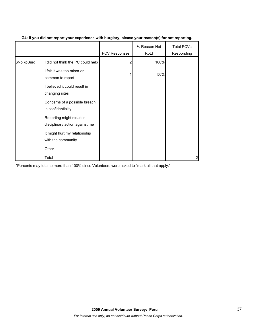|            |                                                             | PCV Responses | % Reason Not<br>Rptd | <b>Total PCVs</b><br>Responding |
|------------|-------------------------------------------------------------|---------------|----------------------|---------------------------------|
| \$NoRpBurg | I did not think the PC could help                           |               | 100%                 |                                 |
|            | I felt it was too minor or<br>common to report              |               | 50%                  |                                 |
|            | I believed it could result in<br>changing sites             |               |                      |                                 |
|            | Concerns of a possible breach<br>in confidentiality         |               |                      |                                 |
|            | Reporting might result in<br>disciplinary action against me |               |                      |                                 |
|            | It might hurt my relationship<br>with the community         |               |                      |                                 |
|            | Other                                                       |               |                      |                                 |
|            | Total                                                       |               |                      |                                 |

# **G4: If you did not report your experience with burglary, please your reason(s) for not reporting.**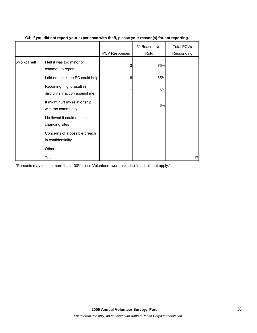|             |                                                             | PCV Responses | % Reason Not<br>Rptd | <b>Total PCVs</b><br>Responding |
|-------------|-------------------------------------------------------------|---------------|----------------------|---------------------------------|
| \$NoRpTheft | I felt it was too minor or<br>common to report              | 13            | 76%                  |                                 |
|             | I did not think the PC could help                           | 6             | 35%                  |                                 |
|             | Reporting might result in<br>disciplinary action against me |               | 6%                   |                                 |
|             | It might hurt my relationship<br>with the community         |               | 6%                   |                                 |
|             | I believed it could result in<br>changing sites             |               |                      |                                 |
|             | Concerns of a possible breach<br>in confidentiality         |               |                      |                                 |
|             | Other                                                       |               |                      |                                 |
|             | Total                                                       |               |                      | 17                              |

## **G4: If you did not report your experience with theft, please your reason(s) for not reporting.**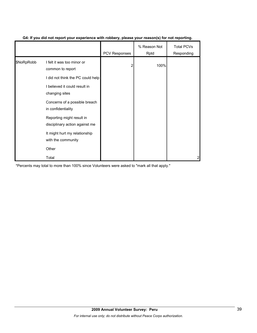|            |                                                             | <b>PCV Responses</b> | % Reason Not<br>Rptd | <b>Total PCVs</b><br>Responding |
|------------|-------------------------------------------------------------|----------------------|----------------------|---------------------------------|
| \$NoRpRobb | I felt it was too minor or<br>common to report              | 2                    | 100%                 |                                 |
|            | I did not think the PC could help                           |                      |                      |                                 |
|            | I believed it could result in<br>changing sites             |                      |                      |                                 |
|            | Concerns of a possible breach<br>in confidentiality         |                      |                      |                                 |
|            | Reporting might result in<br>disciplinary action against me |                      |                      |                                 |
|            | It might hurt my relationship<br>with the community         |                      |                      |                                 |
|            | Other                                                       |                      |                      |                                 |
|            | Total                                                       |                      |                      | 2                               |

## **G4: If you did not report your experience with robbery, please your reason(s) for not reporting.**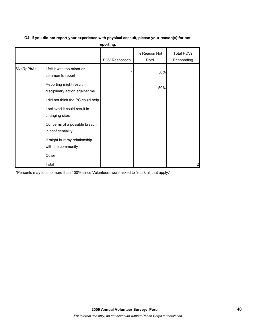|            |                                                             | reporting.    |                      |                                 |
|------------|-------------------------------------------------------------|---------------|----------------------|---------------------------------|
|            |                                                             | PCV Responses | % Reason Not<br>Rptd | <b>Total PCVs</b><br>Responding |
| \$NoRpPhAs | I felt it was too minor or<br>common to report              |               | 50%                  |                                 |
|            | Reporting might result in<br>disciplinary action against me |               | 50%                  |                                 |
|            | I did not think the PC could help                           |               |                      |                                 |
|            | I believed it could result in<br>changing sites             |               |                      |                                 |
|            | Concerns of a possible breach<br>in confidentiality         |               |                      |                                 |
|            | It might hurt my relationship<br>with the community         |               |                      |                                 |
|            | Other                                                       |               |                      |                                 |
|            | Total                                                       |               |                      | 2                               |

# **G4: If you did not report your experience with physical assault, please your reason(s) for not**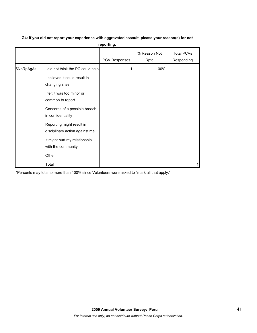# **G4: If you did not report your experience with aggravated assault, please your reason(s) for not**

|  | reporting. |  |
|--|------------|--|
|  |            |  |

|            |                                                             | <b>PCV Responses</b> | % Reason Not<br>Rptd | <b>Total PCVs</b><br>Responding |
|------------|-------------------------------------------------------------|----------------------|----------------------|---------------------------------|
| \$NoRpAgAs | I did not think the PC could help                           |                      | 100%                 |                                 |
|            | I believed it could result in<br>changing sites             |                      |                      |                                 |
|            | I felt it was too minor or<br>common to report              |                      |                      |                                 |
|            | Concerns of a possible breach<br>in confidentiality         |                      |                      |                                 |
|            | Reporting might result in<br>disciplinary action against me |                      |                      |                                 |
|            | It might hurt my relationship<br>with the community         |                      |                      |                                 |
|            | Other                                                       |                      |                      |                                 |
|            | Total                                                       |                      |                      |                                 |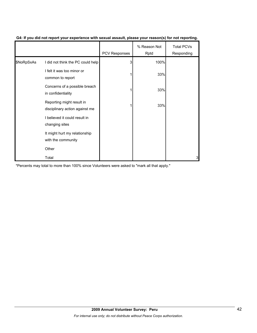|            |                                                             | <b>PCV Responses</b> | % Reason Not<br>Rptd | <b>Total PCVs</b><br>Responding |
|------------|-------------------------------------------------------------|----------------------|----------------------|---------------------------------|
| \$NoRpSxAs | I did not think the PC could help                           | З                    | 100%                 |                                 |
|            | I felt it was too minor or<br>common to report              |                      | 33%                  |                                 |
|            | Concerns of a possible breach<br>in confidentiality         |                      | 33%                  |                                 |
|            | Reporting might result in<br>disciplinary action against me |                      | 33%                  |                                 |
|            | I believed it could result in<br>changing sites             |                      |                      |                                 |
|            | It might hurt my relationship<br>with the community         |                      |                      |                                 |
|            | Other                                                       |                      |                      |                                 |
|            | Total                                                       |                      |                      | 3                               |

## **G4: If you did not report your experience with sexual assault, please your reason(s) for not reporting.**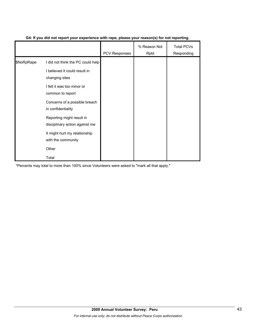|            |                                                             | <b>PCV Responses</b> | % Reason Not<br>Rptd | <b>Total PCVs</b><br>Responding |
|------------|-------------------------------------------------------------|----------------------|----------------------|---------------------------------|
| \$NoRpRape | I did not think the PC could help                           |                      |                      |                                 |
|            | I believed it could result in<br>changing sites             |                      |                      |                                 |
|            | I felt it was too minor or<br>common to report              |                      |                      |                                 |
|            | Concerns of a possible breach<br>in confidentiality         |                      |                      |                                 |
|            | Reporting might result in<br>disciplinary action against me |                      |                      |                                 |
|            | It might hurt my relationship<br>with the community         |                      |                      |                                 |
|            | Other                                                       |                      |                      |                                 |
|            | Total                                                       |                      |                      |                                 |

# **G4: If you did not report your experience with rape, please your reason(s) for not reporting.**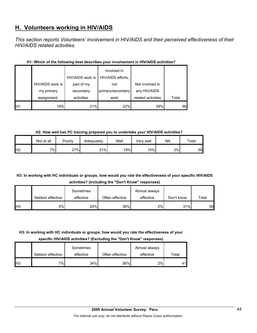# **H. Volunteers working in HIV/AIDS**

*This section reports Volunteers' involvement in HIV/AIDS and their perceived effectiveness of their HIV/AIDS related activities.* 

|                |                  | HIV/AIDS work is | Involved in<br>HIV/AIDS efforts, |                    |       |
|----------------|------------------|------------------|----------------------------------|--------------------|-------|
|                | HIV/AIDS work is | part of my       | not                              | Not involved in    |       |
|                | my primary       | secondary        | primary/secondary                | any HIV/AIDS       |       |
|                | assignment.      | activities.      | work                             | related activities | Total |
| H <sub>1</sub> | 19%              | 21%              | 22%                              | 39%                | 96    |

## **H1: Which of the following best describes your involvement in HIV/AIDS activities?**

**H2: How well has PC training prepared you to undertake your HIV/AIDS activities?**

|                | Not at all | Poorly | Adequately | Well | Verv well | NA | Total |
|----------------|------------|--------|------------|------|-----------|----|-------|
| H <sub>2</sub> | 7%         | 27%    | 31%        | 19%  | 15%       | 2% | 59    |

# **H3: In working with HC individuals or groups, how would you rate the effectiveness of your specific HIV/AIDS activities? (Including the "Don't Know" responses)**

|            |                  | Sometimes |                 | Almost always |            |       |
|------------|------------------|-----------|-----------------|---------------|------------|-------|
|            | Seldom effective | effective | Often effective | effective     | Don't know | Total |
| <b>H</b> 3 | 5%l              | 24%       | 39%             | 2%            | 31%        | 59    |

# **H3: In working with HC individuals or groups, how would you rate the effectiveness of your**

**specific HIV/AIDS activities? (Excluding the "Don't Know" responses)**

|                |                  | Sometimes |                 | Almost always |       |
|----------------|------------------|-----------|-----------------|---------------|-------|
|                | Seldom effective | effective | Often effective | effective     | Total |
| H <sub>3</sub> | $7\%$            | 34%       | 56%             | 2%            | 41    |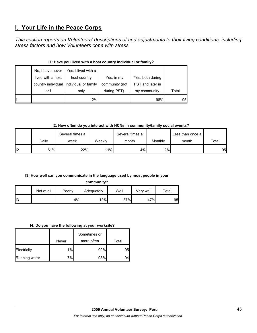# **I. Your Life in the Peace Corps**

*This section reports on Volunteers' descriptions of and adjustments to their living conditions, including stress factors and how Volunteers cope with stress.* 

|    | No, I have never  | Yes, I lived with a                     |                |                  |       |  |  |
|----|-------------------|-----------------------------------------|----------------|------------------|-------|--|--|
|    | lived with a host | host country                            | Yes, in my     | Yes, both during |       |  |  |
|    |                   | country individual individual or family | community (not | PST and later in |       |  |  |
|    | or f              | only                                    | during PST).   | my community.    | Total |  |  |
| 11 |                   | 2%                                      |                | 98%              | 95    |  |  |

## **I1: Have you lived with a host country individual or family?**

**I2: How often do you interact with HCNs in community/family social events?**

|    |       | Several times a |        | Several times a |         | Less than once a |       |
|----|-------|-----------------|--------|-----------------|---------|------------------|-------|
|    | Dailv | week            | Weeklv | month           | Monthly | month            | Total |
| 12 | 61%   | 22%             | 11%    | 4%              | 2%      |                  | 95    |

## **I3: How well can you communicate in the language used by most people in your**

**community?**

|     | Not at all | Poorly | Adequately | Well | Very well | $\tau$ otal |
|-----|------------|--------|------------|------|-----------|-------------|
| ll3 |            | 4%     | 12%        | 37%  | 47%       | 95          |

#### **I4: Do you have the following at your worksite?**

|               |       | Sometimes or |       |
|---------------|-------|--------------|-------|
|               | Never | more often   | Total |
| Electricity   | 1%    | 99%          | 95    |
| Running water | 7%    | 93%          |       |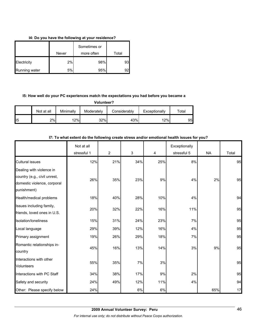### **I4: Do you have the following at your residence?**

|               | Never | Sometimes or<br>more often | Total |
|---------------|-------|----------------------------|-------|
| Electricity   | 2%    | 98%                        | 93    |
| Running water | 5%    | 95%                        | 92    |

# **I5: How well do your PC experiences match the expectations you had before you became a**

**Volunteer?**

|    | Not at all | Minimally | Moderately | Considerably | Exceptionally | $\tau$ otal |
|----|------------|-----------|------------|--------------|---------------|-------------|
| 15 | 2%         | 12%       | 32%        | 43%          | 12%           | 95          |

# **I7: To what extent do the following create stress and/or emotional health issues for you?**

|                                                                                                        | Not at all  |                |     |     | Exceptionally |           |       |
|--------------------------------------------------------------------------------------------------------|-------------|----------------|-----|-----|---------------|-----------|-------|
|                                                                                                        | stressful 1 | $\overline{2}$ | 3   | 4   | stressful 5   | <b>NA</b> | Total |
| <b>Cultural issues</b>                                                                                 | 12%         | 21%            | 34% | 25% | 8%            |           | 95    |
| Dealing with violence in<br>country (e.g., civil unrest,<br>domestic violence, corporal<br>punishment) | 26%         | 35%            | 23% | 9%  | 4%            | 2%        | 95    |
| Health/medical problems                                                                                | 18%         | 40%            | 28% | 10% | 4%            |           | 94    |
| Issues including family,<br>friends, loved ones in U.S.                                                | 20%         | 32%            | 22% | 16% | 11%           |           | 95    |
| Isolation/Ioneliness                                                                                   | 15%         | 31%            | 24% | 23% | 7%            |           | 95    |
| Local language                                                                                         | 29%         | 39%            | 12% | 16% | 4%            |           | 95    |
| Primary assignment                                                                                     | 19%         | 26%            | 29% | 18% | 7%            |           | 95    |
| Romantic relationships in-<br>country                                                                  | 45%         | 16%            | 13% | 14% | 3%            | 9%        | 95    |
| Interactions with other<br><b>Volunteers</b>                                                           | 55%         | 35%            | 7%  | 3%  |               |           | 95    |
| Interactions with PC Staff                                                                             | 34%         | 38%            | 17% | 9%  | 2%            |           | 95    |
| Safety and security                                                                                    | 24%         | 49%            | 12% | 11% | 4%            |           | 94    |
| Other: Please specify below                                                                            | 24%         |                | 6%  | 6%  |               | 65%       | 17    |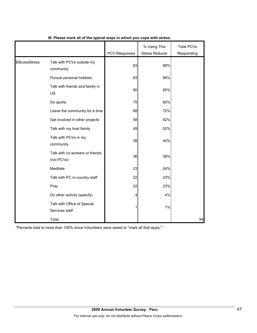|                |                                               | <b>PCV Responses</b> | % Using This<br><b>Stress Reducer</b> | <b>Total PCVs</b><br>Responding |
|----------------|-----------------------------------------------|----------------------|---------------------------------------|---------------------------------|
| \$18LessStress | Talk with PCVs outside my<br>community        | 83                   | 88%                                   |                                 |
|                | Pursue personal hobbies                       | 83                   | 88%                                   |                                 |
|                | Talk with friends and family in<br>US         | 80                   | 85%                                   |                                 |
|                | Do sports                                     | 75                   | 80%                                   |                                 |
|                | Leave the community for a time                | 68                   | 72%                                   |                                 |
|                | Get involved in other projects                | 58                   | 62%                                   |                                 |
|                | Talk with my host family                      | 49                   | 52%                                   |                                 |
|                | Talk with PCVs in my<br>community             | 38                   | 40%                                   |                                 |
|                | Talk with co-workers or friends<br>(not PCVs) | 36                   | 38%                                   |                                 |
|                | Meditate                                      | 23                   | 24%                                   |                                 |
|                | Talk with PC in-country staff                 | 22                   | 23%                                   |                                 |
|                | Pray                                          | 22                   | 23%                                   |                                 |
|                | Do other activity (specify)                   | 4                    | 4%                                    |                                 |
|                | Talk with Office of Special<br>Services staff | 1                    | 1%                                    |                                 |
|                | Total                                         |                      |                                       | 94                              |

# **I8: Please mark all of the typical ways in which you cope with stress.**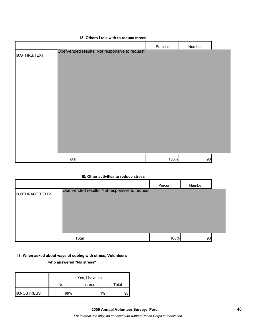|                      | 18: Others I talk with to requce stress        |         |        |  |
|----------------------|------------------------------------------------|---------|--------|--|
|                      |                                                | Percent | Number |  |
| <b>I8.OTHRS.TEXT</b> | Open-ended results. Not responsive to request. |         |        |  |
|                      |                                                |         |        |  |
|                      |                                                |         |        |  |
|                      |                                                |         |        |  |
|                      |                                                |         |        |  |
|                      |                                                |         |        |  |
|                      |                                                |         |        |  |
|                      |                                                |         |        |  |
|                      |                                                |         |        |  |
|                      |                                                |         |        |  |
|                      |                                                |         |        |  |
|                      |                                                |         |        |  |
|                      |                                                |         |        |  |
|                      |                                                |         |        |  |
| Total                |                                                | 100%    | 98     |  |
|                      |                                                |         |        |  |

## **I8: Others I talk with to reduce stress**

#### **I8: Other activities to reduce stress**

|                         |                                                | Percent | Number |  |
|-------------------------|------------------------------------------------|---------|--------|--|
| <b>I8.OTHRACT.TEXT2</b> | Open-ended results. Not responsive to request. |         |        |  |
|                         | Total                                          | 100%    | 98     |  |

#### **I8: When asked about ways of coping with stress, Volunteers**

#### **who answered "No stress"**

|                    |     | Yes, I have no |       |
|--------------------|-----|----------------|-------|
|                    | No  | stress         | Total |
| <b>I8.NOSTRESS</b> | 99% | 1%             |       |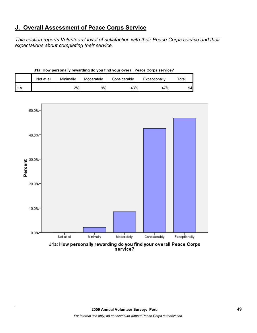# **J. Overall Assessment of Peace Corps Service**

*This section reports Volunteers' level of satisfaction with their Peace Corps service and their expectations about completing their service.* 

| J1a: How personally rewarding do you find your overall Peace Corps service? |  |
|-----------------------------------------------------------------------------|--|
|-----------------------------------------------------------------------------|--|

|     | Not at all | Minimally | Moderately | Considerably | Exceptionally | $\tau$ otal |
|-----|------------|-----------|------------|--------------|---------------|-------------|
| J1A |            | 2%        | 9%         | 43%          | 47%           | 94          |

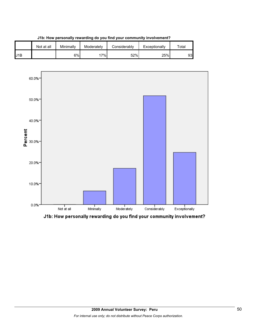

**J1b: How personally rewarding do you find your community involvement?**



J1b: How personally rewarding do you find your community involvement?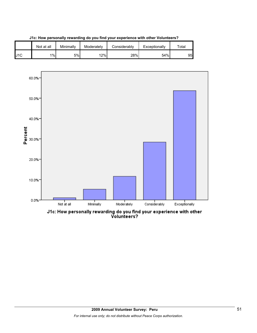

**J1c: How personally rewarding do you find your experience with other Volunteers?**



J1c: How personally rewarding do you find your experience with other<br>Volunteers?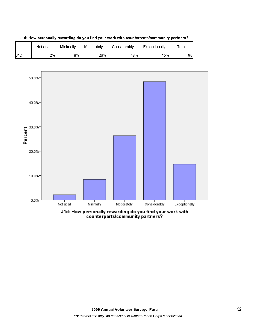

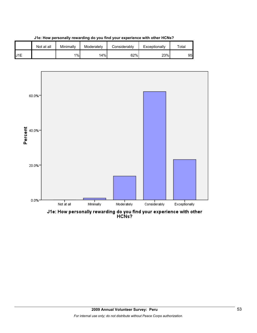

**J1e: How personally rewarding do you find your experience with other HCNs?**

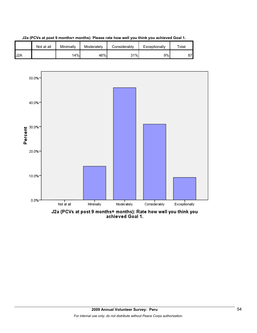



J2a (PCVs at post 9 months+ months): Rate how well you think you<br>achieved Goal 1.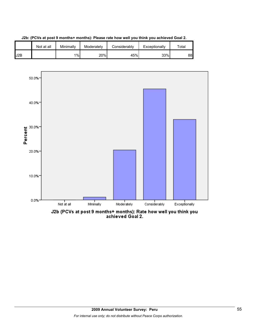

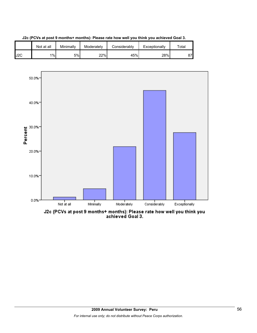





J2c (PCVs at post 9 months+ months): Please rate how well you think you<br>achieved Goal 3.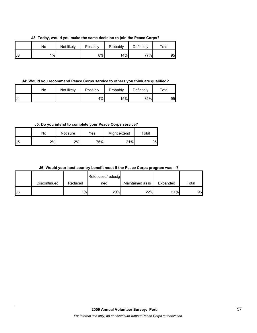**J3: Today, would you make the same decision to join the Peace Corps?**

|    | No | Not likely | Possibly | Probably | Definitely | Total |
|----|----|------------|----------|----------|------------|-------|
| J3 | 1% |            | 8%       | 14%      | 77%।       | 95    |

**J4: Would you recommend Peace Corps service to others you think are qualified?**

|     | No | Not likely | Possibly | Probably | Definitely | $\tau$ otal |
|-----|----|------------|----------|----------|------------|-------------|
| IJ4 |    |            | 4%       | 15%      | 81%        | 95          |

**J5: Do you intend to complete your Peace Corps service?**

|    | No | Not sure | Yes | Might extend | Total |
|----|----|----------|-----|--------------|-------|
| J5 | 2% | 2%       | 75% | 21%          | 95    |

|  | J6: Would your host country benefit most if the Peace Corps program was---? |  |  |  |  |  |  |
|--|-----------------------------------------------------------------------------|--|--|--|--|--|--|
|--|-----------------------------------------------------------------------------|--|--|--|--|--|--|

|    |              |         | Refocused/redesig |                  |          |       |
|----|--------------|---------|-------------------|------------------|----------|-------|
|    | Discontinued | Reduced | ned               | Maintained as is | Expanded | Total |
| J6 |              | 1%      | 20%               | 22%              | 57%      | 95    |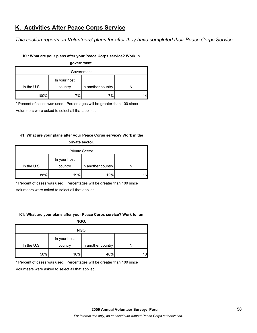# **K. Activities After Peace Corps Service**

*This section reports on Volunteers' plans for after they have completed their Peace Corps Service.* 

## **K1: What are your plans after your Peace Corps service? Work in**

| government.   |              |                    |  |  |  |  |
|---------------|--------------|--------------------|--|--|--|--|
| Government    |              |                    |  |  |  |  |
|               | In your host |                    |  |  |  |  |
| In the $U.S.$ | country      | In another country |  |  |  |  |
| 100%          | 7%           | 7%                 |  |  |  |  |

\* Percent of cases was used. Percentages will be greater than 100 since

Volunteers were asked to select all that applied.

## **K1: What are your plans after your Peace Corps service? Work in the**

| private sector.       |              |                    |    |  |  |
|-----------------------|--------------|--------------------|----|--|--|
| <b>Private Sector</b> |              |                    |    |  |  |
|                       | In your host |                    |    |  |  |
| In the $U.S.$         | country      | In another country |    |  |  |
| 88%                   | 19%          | 12%                | 16 |  |  |

\* Percent of cases was used. Percentages will be greater than 100 since

Volunteers were asked to select all that applied.

#### **K1: What are your plans after your Peace Corps service? Work for an**

**NGO.**

| <b>NGO</b>    |                         |                    |    |  |  |
|---------------|-------------------------|--------------------|----|--|--|
| In the $U.S.$ | In your host<br>country | In another country |    |  |  |
| 50%           | 10%                     | 40%                | 10 |  |  |

\* Percent of cases was used. Percentages will be greater than 100 since

Volunteers were asked to select all that applied.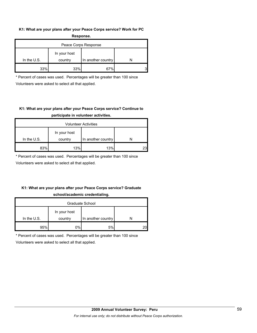### **K1: What are your plans after your Peace Corps service? Work for PC Response.**

| -----------          |                         |                    |  |  |  |  |
|----------------------|-------------------------|--------------------|--|--|--|--|
| Peace Corps Response |                         |                    |  |  |  |  |
| In the $U.S.$        | In your host<br>country | In another country |  |  |  |  |
| 33%                  | 33%                     | 67%                |  |  |  |  |

\* Percent of cases was used. Percentages will be greater than 100 since Volunteers were asked to select all that applied.

# **K1: What are your plans after your Peace Corps service? Continue to participate in volunteer activities.**

| <b>Volunteer Activities</b> |                         |                    |    |  |  |
|-----------------------------|-------------------------|--------------------|----|--|--|
| In the $U.S.$               | In your host<br>country | In another country |    |  |  |
|                             |                         |                    |    |  |  |
| 83%                         | 13%                     | 13%                | 23 |  |  |

\* Percent of cases was used. Percentages will be greater than 100 since

Volunteers were asked to select all that applied.

# **K1: What are your plans after your Peace Corps service? Graduate school/academic credentialing.**

| Graduate School |              |                    |    |  |  |
|-----------------|--------------|--------------------|----|--|--|
|                 | In your host |                    |    |  |  |
| In the $U.S.$   | country      | In another country |    |  |  |
| 95%             | 0%l          | 5%                 | 20 |  |  |

\* Percent of cases was used. Percentages will be greater than 100 since

Volunteers were asked to select all that applied.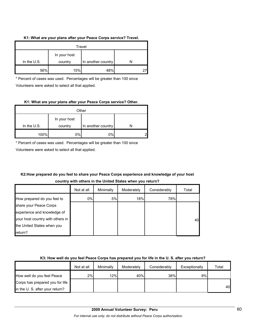### **K1: What are your plans after your Peace Corps service? Travel.**

| Travel      |                         |                    |  |  |  |
|-------------|-------------------------|--------------------|--|--|--|
| In the U.S. | In your host<br>country | In another country |  |  |  |
| 56%         | 15%                     | 48%                |  |  |  |

\* Percent of cases was used. Percentages will be greater than 100 since Volunteers were asked to select all that applied.

## **K1: What are your plans after your Peace Corps service? Other.**

| Other       |              |                    |   |  |
|-------------|--------------|--------------------|---|--|
|             | In your host |                    |   |  |
| In the U.S. | country      | In another country |   |  |
| 100%        | 0%           | 0%                 | ⌒ |  |

\* Percent of cases was used. Percentages will be greater than 100 since

Volunteers were asked to select all that applied.

# **K2:How prepared do you feel to share your Peace Corps experience and knowledge of your host country with others in the United States when you return?**

|                                  | Not at all | Minimally | Moderately | Considerably | Total |
|----------------------------------|------------|-----------|------------|--------------|-------|
| How prepared do you feel to      | 0%         | 5%        | 18%        | 78%          |       |
| share your Peace Corps           |            |           |            |              |       |
| experience and knowledge of      |            |           |            |              |       |
| your host country with others in |            |           |            |              | 40    |
| the United States when you       |            |           |            |              |       |
| return?                          |            |           |            |              |       |

## **K3: How well do you feel Peace Corps has prepared you for life in the U. S. after you return?**

|                                 | Not at all | Minimally | Moderately | Considerably | Exceptionally | Total |
|---------------------------------|------------|-----------|------------|--------------|---------------|-------|
| How well do you feel Peace      | 2%         | 12%       | 40%        | 38%          | 8%            |       |
| Corps has prepared you for life |            |           |            |              |               |       |
| in the U. S. after your return? |            |           |            |              |               | 40    |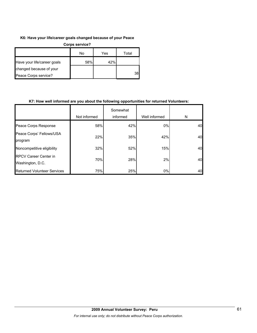### **K6: Have your life/career goals changed because of your Peace**

| Corps service?              |     |     |       |  |  |
|-----------------------------|-----|-----|-------|--|--|
|                             | No  | Yes | Total |  |  |
| Have your life/career goals | 58% | 42% |       |  |  |
| changed because of your     |     |     |       |  |  |
| Peace Corps service?        |     |     | 38    |  |  |

### **K7: How well informed are you about the following opportunities for returned Volunteers:**

|                                                  | Not informed | Somewhat<br>informed | Well informed | N  |
|--------------------------------------------------|--------------|----------------------|---------------|----|
| Peace Corps Response                             | 58%          | 42%                  | 0%            | 40 |
| Peace Corps' Fellows/USA<br>program              | 22%          | 35%                  | 42%           | 40 |
| Noncompetitive eligibility                       | 32%          | 52%                  | 15%           | 40 |
| <b>RPCV Career Center in</b><br>Washington, D.C. | 70%          | 28%                  | 2%            | 40 |
| <b>Returned Volunteer Services</b>               | 75%          | 25%                  | 0%            | 40 |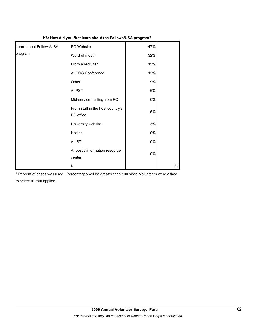| K8: How did you first learn about the Fellows/USA program? |                                               |       |    |  |
|------------------------------------------------------------|-----------------------------------------------|-------|----|--|
| Learn about Fellows/USA                                    | PC Website                                    | 47%   |    |  |
| program                                                    | Word of mouth                                 | 32%   |    |  |
|                                                            | From a recruiter                              | 15%   |    |  |
|                                                            | At COS Conference                             | 12%   |    |  |
|                                                            | Other                                         | 9%    |    |  |
|                                                            | At PST                                        | 6%    |    |  |
|                                                            | Mid-service mailing from PC                   | 6%    |    |  |
|                                                            | From staff in the host country's<br>PC office | 6%    |    |  |
|                                                            | University website                            | 3%    |    |  |
|                                                            | Hotline                                       | $0\%$ |    |  |
|                                                            | At IST                                        | $0\%$ |    |  |
|                                                            | At post's information resource<br>center      | $0\%$ |    |  |
|                                                            | N                                             |       | 34 |  |

\* Percent of cases was used. Percentages will be greater than 100 since Volunteers were asked to select all that applied.

# **2009 Annual Volunteer Survey: Peru**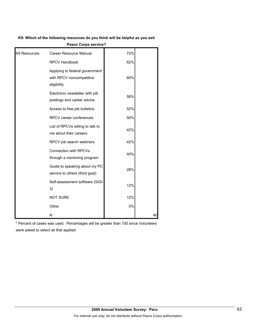### **K9: Which of the following resources do you think will be helpful as you exit**

| K9 Resources | <b>Career Resource Manual</b>                                             | 72% |    |
|--------------|---------------------------------------------------------------------------|-----|----|
|              | <b>RPCV Handbook</b>                                                      | 62% |    |
|              | Applying to federal government<br>with RPCV noncompetitive<br>eligibility | 60% |    |
|              | Electronic newsletter with job<br>postings and career advice              | 58% |    |
|              | Access to free job bulletins                                              | 52% |    |
|              | RPCV career conferences                                                   | 50% |    |
|              | List of RPCVs willing to talk to<br>me about their careers                | 42% |    |
|              | RPCV job search webinars                                                  | 42% |    |
|              | <b>Connection with RPCVs</b><br>through a mentoring program               | 40% |    |
|              | Guide to speaking about my PC<br>service to others (third goal)           | 28% |    |
|              | Self-assessment software (SIGI<br>3)                                      | 12% |    |
|              | <b>NOT SURE</b>                                                           | 12% |    |
|              | Other                                                                     | 0%  |    |
|              | N                                                                         |     | 40 |

**Peace Corps service?**

\* Percent of cases was used. Percentages will be greater than 100 since Volunteers were asked to select all that applied.